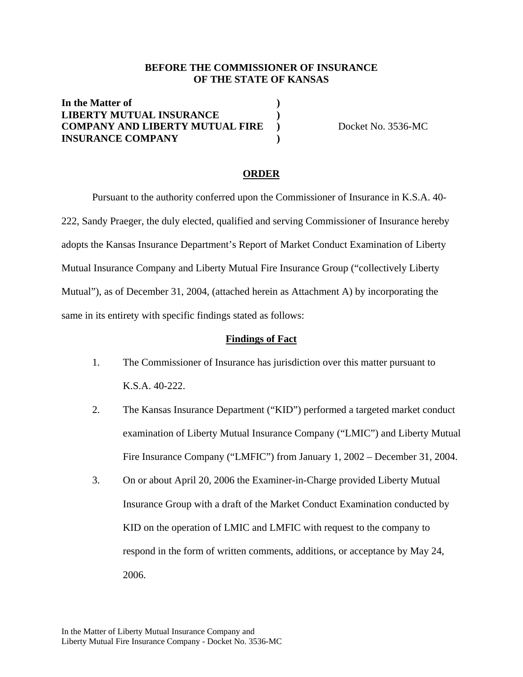#### **BEFORE THE COMMISSIONER OF INSURANCE OF THE STATE OF KANSAS**

**In the Matter of ) LIBERTY MUTUAL INSURANCE ) COMPANY AND LIBERTY MUTUAL FIRE** ) Docket No. 3536-MC **INSURANCE COMPANY )**

#### **ORDER**

 Pursuant to the authority conferred upon the Commissioner of Insurance in K.S.A. 40- 222, Sandy Praeger, the duly elected, qualified and serving Commissioner of Insurance hereby adopts the Kansas Insurance Department's Report of Market Conduct Examination of Liberty Mutual Insurance Company and Liberty Mutual Fire Insurance Group ("collectively Liberty Mutual"), as of December 31, 2004, (attached herein as Attachment A) by incorporating the same in its entirety with specific findings stated as follows:

#### **Findings of Fact**

- 1. The Commissioner of Insurance has jurisdiction over this matter pursuant to K.S.A. 40-222.
- 2. The Kansas Insurance Department ("KID") performed a targeted market conduct examination of Liberty Mutual Insurance Company ("LMIC") and Liberty Mutual Fire Insurance Company ("LMFIC") from January 1, 2002 – December 31, 2004.
- 3. On or about April 20, 2006 the Examiner-in-Charge provided Liberty Mutual Insurance Group with a draft of the Market Conduct Examination conducted by KID on the operation of LMIC and LMFIC with request to the company to respond in the form of written comments, additions, or acceptance by May 24, 2006.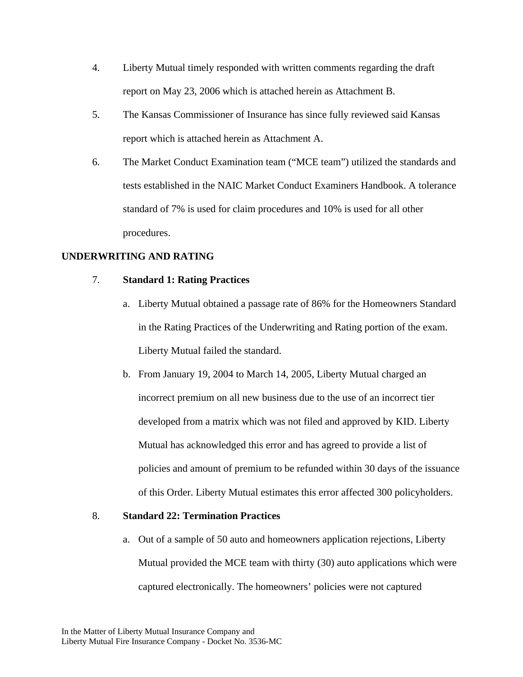- 4. Liberty Mutual timely responded with written comments regarding the draft report on May 23, 2006 which is attached herein as Attachment B.
- 5. The Kansas Commissioner of Insurance has since fully reviewed said Kansas report which is attached herein as Attachment A.
- 6. The Market Conduct Examination team ("MCE team") utilized the standards and tests established in the NAIC Market Conduct Examiners Handbook. A tolerance standard of 7% is used for claim procedures and 10% is used for all other procedures.

# **UNDERWRITING AND RATING**

## 7. **Standard 1: Rating Practices**

- a. Liberty Mutual obtained a passage rate of 86% for the Homeowners Standard in the Rating Practices of the Underwriting and Rating portion of the exam. Liberty Mutual failed the standard.
- b. From January 19, 2004 to March 14, 2005, Liberty Mutual charged an incorrect premium on all new business due to the use of an incorrect tier developed from a matrix which was not filed and approved by KID. Liberty Mutual has acknowledged this error and has agreed to provide a list of policies and amount of premium to be refunded within 30 days of the issuance of this Order. Liberty Mutual estimates this error affected 300 policyholders.

#### 8. **Standard 22: Termination Practices**

a. Out of a sample of 50 auto and homeowners application rejections, Liberty Mutual provided the MCE team with thirty (30) auto applications which were captured electronically. The homeowners' policies were not captured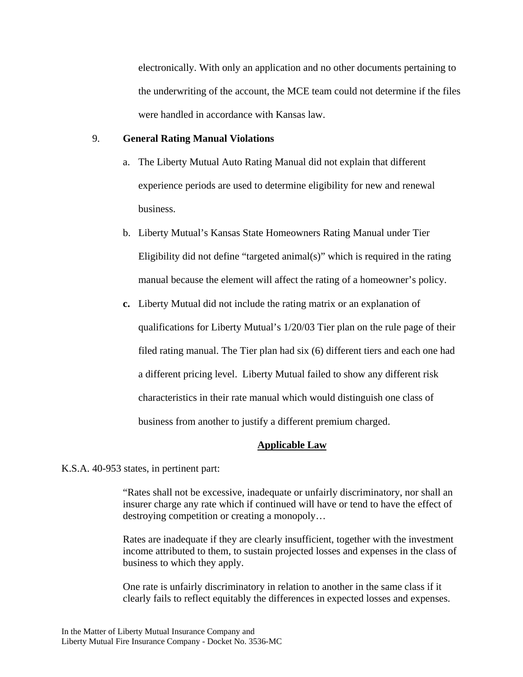electronically. With only an application and no other documents pertaining to the underwriting of the account, the MCE team could not determine if the files were handled in accordance with Kansas law.

#### 9. **General Rating Manual Violations**

- a. The Liberty Mutual Auto Rating Manual did not explain that different experience periods are used to determine eligibility for new and renewal business.
- b. Liberty Mutual's Kansas State Homeowners Rating Manual under Tier Eligibility did not define "targeted animal(s)" which is required in the rating manual because the element will affect the rating of a homeowner's policy.
- **c.** Liberty Mutual did not include the rating matrix or an explanation of qualifications for Liberty Mutual's 1/20/03 Tier plan on the rule page of their filed rating manual. The Tier plan had six (6) different tiers and each one had a different pricing level. Liberty Mutual failed to show any different risk characteristics in their rate manual which would distinguish one class of business from another to justify a different premium charged.

### **Applicable Law**

K.S.A. 40-953 states, in pertinent part:

"Rates shall not be excessive, inadequate or unfairly discriminatory, nor shall an insurer charge any rate which if continued will have or tend to have the effect of destroying competition or creating a monopoly…

Rates are inadequate if they are clearly insufficient, together with the investment income attributed to them, to sustain projected losses and expenses in the class of business to which they apply.

One rate is unfairly discriminatory in relation to another in the same class if it clearly fails to reflect equitably the differences in expected losses and expenses.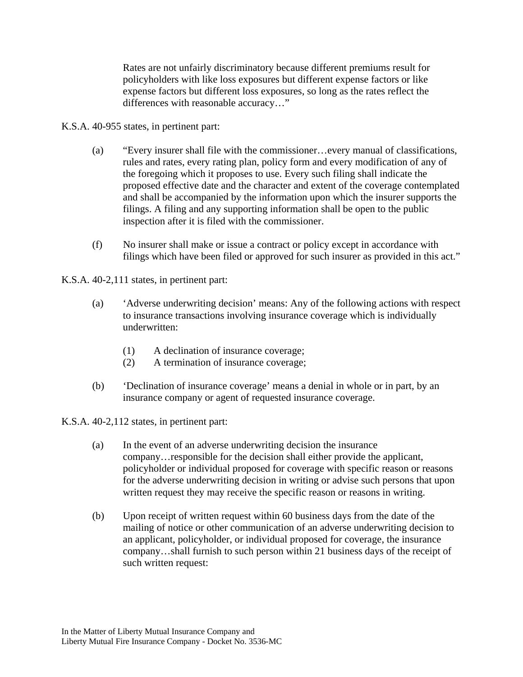Rates are not unfairly discriminatory because different premiums result for policyholders with like loss exposures but different expense factors or like expense factors but different loss exposures, so long as the rates reflect the differences with reasonable accuracy…"

- K.S.A. 40-955 states, in pertinent part:
	- (a) "Every insurer shall file with the commissioner…every manual of classifications, rules and rates, every rating plan, policy form and every modification of any of the foregoing which it proposes to use. Every such filing shall indicate the proposed effective date and the character and extent of the coverage contemplated and shall be accompanied by the information upon which the insurer supports the filings. A filing and any supporting information shall be open to the public inspection after it is filed with the commissioner.
	- (f) No insurer shall make or issue a contract or policy except in accordance with filings which have been filed or approved for such insurer as provided in this act."

K.S.A. 40-2,111 states, in pertinent part:

- (a) 'Adverse underwriting decision' means: Any of the following actions with respect to insurance transactions involving insurance coverage which is individually underwritten:
	- (1) A declination of insurance coverage;
	- (2) A termination of insurance coverage;
- (b) 'Declination of insurance coverage' means a denial in whole or in part, by an insurance company or agent of requested insurance coverage.

K.S.A. 40-2,112 states, in pertinent part:

- (a) In the event of an adverse underwriting decision the insurance company…responsible for the decision shall either provide the applicant, policyholder or individual proposed for coverage with specific reason or reasons for the adverse underwriting decision in writing or advise such persons that upon written request they may receive the specific reason or reasons in writing.
- (b) Upon receipt of written request within 60 business days from the date of the mailing of notice or other communication of an adverse underwriting decision to an applicant, policyholder, or individual proposed for coverage, the insurance company…shall furnish to such person within 21 business days of the receipt of such written request: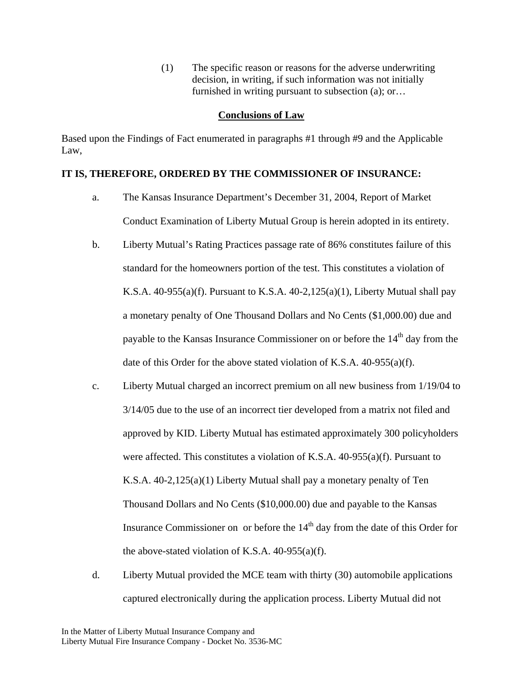(1) The specific reason or reasons for the adverse underwriting decision, in writing, if such information was not initially furnished in writing pursuant to subsection (a); or…

#### **Conclusions of Law**

Based upon the Findings of Fact enumerated in paragraphs #1 through #9 and the Applicable Law,

### **IT IS, THEREFORE, ORDERED BY THE COMMISSIONER OF INSURANCE:**

- a. The Kansas Insurance Department's December 31, 2004, Report of Market Conduct Examination of Liberty Mutual Group is herein adopted in its entirety.
- b. Liberty Mutual's Rating Practices passage rate of 86% constitutes failure of this standard for the homeowners portion of the test. This constitutes a violation of K.S.A.  $40-955(a)(f)$ . Pursuant to K.S.A.  $40-2,125(a)(1)$ , Liberty Mutual shall pay a monetary penalty of One Thousand Dollars and No Cents (\$1,000.00) due and payable to the Kansas Insurance Commissioner on or before the  $14<sup>th</sup>$  day from the date of this Order for the above stated violation of K.S.A. 40-955(a)(f).
- c. Liberty Mutual charged an incorrect premium on all new business from 1/19/04 to 3/14/05 due to the use of an incorrect tier developed from a matrix not filed and approved by KID. Liberty Mutual has estimated approximately 300 policyholders were affected. This constitutes a violation of K.S.A. 40-955(a)(f). Pursuant to K.S.A. 40-2,125(a)(1) Liberty Mutual shall pay a monetary penalty of Ten Thousand Dollars and No Cents (\$10,000.00) due and payable to the Kansas Insurance Commissioner on or before the  $14<sup>th</sup>$  day from the date of this Order for the above-stated violation of K.S.A.  $40-955(a)(f)$ .
- d. Liberty Mutual provided the MCE team with thirty (30) automobile applications captured electronically during the application process. Liberty Mutual did not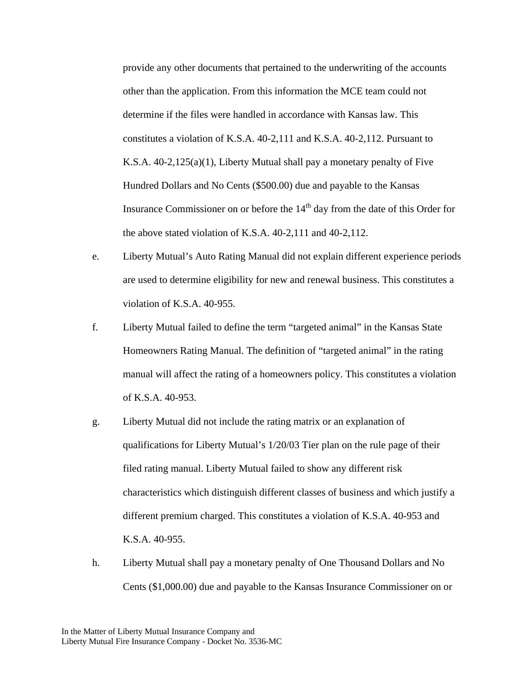provide any other documents that pertained to the underwriting of the accounts other than the application. From this information the MCE team could not determine if the files were handled in accordance with Kansas law. This constitutes a violation of K.S.A. 40-2,111 and K.S.A. 40-2,112. Pursuant to K.S.A. 40-2,125(a)(1), Liberty Mutual shall pay a monetary penalty of Five Hundred Dollars and No Cents (\$500.00) due and payable to the Kansas Insurance Commissioner on or before the  $14<sup>th</sup>$  day from the date of this Order for the above stated violation of K.S.A. 40-2,111 and 40-2,112.

- e. Liberty Mutual's Auto Rating Manual did not explain different experience periods are used to determine eligibility for new and renewal business. This constitutes a violation of K.S.A. 40-955.
- f. Liberty Mutual failed to define the term "targeted animal" in the Kansas State Homeowners Rating Manual. The definition of "targeted animal" in the rating manual will affect the rating of a homeowners policy. This constitutes a violation of K.S.A. 40-953.
- g. Liberty Mutual did not include the rating matrix or an explanation of qualifications for Liberty Mutual's 1/20/03 Tier plan on the rule page of their filed rating manual. Liberty Mutual failed to show any different risk characteristics which distinguish different classes of business and which justify a different premium charged. This constitutes a violation of K.S.A. 40-953 and K.S.A. 40-955.
- h. Liberty Mutual shall pay a monetary penalty of One Thousand Dollars and No Cents (\$1,000.00) due and payable to the Kansas Insurance Commissioner on or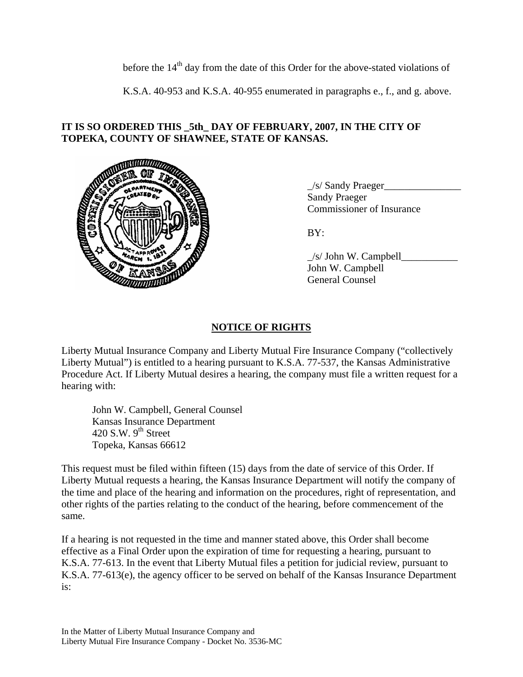before the 14<sup>th</sup> day from the date of this Order for the above-stated violations of

K.S.A. 40-953 and K.S.A. 40-955 enumerated in paragraphs e., f., and g. above.

## **IT IS SO ORDERED THIS \_5th\_ DAY OF FEBRUARY, 2007, IN THE CITY OF TOPEKA, COUNTY OF SHAWNEE, STATE OF KANSAS.**



 $\angle$ s/ Sandy Praeger $\Box$  Sandy Praeger Commissioner of Insurance

 $\angle$ s/ John W. Campbell $\angle$  John W. Campbell General Counsel

# **NOTICE OF RIGHTS**

Liberty Mutual Insurance Company and Liberty Mutual Fire Insurance Company ("collectively Liberty Mutual") is entitled to a hearing pursuant to K.S.A. 77-537, the Kansas Administrative Procedure Act. If Liberty Mutual desires a hearing, the company must file a written request for a hearing with:

 John W. Campbell, General Counsel Kansas Insurance Department 420 S.W.  $9<sup>th</sup>$  Street Topeka, Kansas 66612

This request must be filed within fifteen (15) days from the date of service of this Order. If Liberty Mutual requests a hearing, the Kansas Insurance Department will notify the company of the time and place of the hearing and information on the procedures, right of representation, and other rights of the parties relating to the conduct of the hearing, before commencement of the same.

If a hearing is not requested in the time and manner stated above, this Order shall become effective as a Final Order upon the expiration of time for requesting a hearing, pursuant to K.S.A. 77-613. In the event that Liberty Mutual files a petition for judicial review, pursuant to K.S.A. 77-613(e), the agency officer to be served on behalf of the Kansas Insurance Department is: